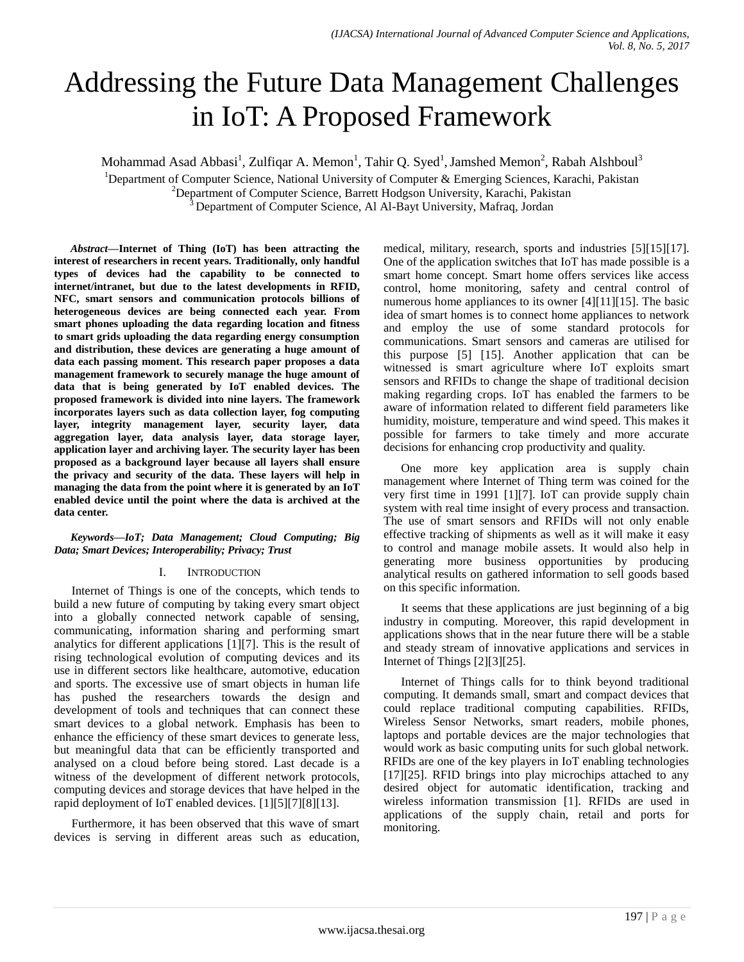# Addressing the Future Data Management Challenges in IoT: A Proposed Framework

Mohammad Asad Abbasi<sup>1</sup>, Zulfiqar A. Memon<sup>1</sup>, Tahir Q. Syed<sup>1</sup>, Jamshed Memon<sup>2</sup>, Rabah Alshboul<sup>3</sup>

<sup>1</sup>Department of Computer Science, National University of Computer & Emerging Sciences, Karachi, Pakistan

<sup>2</sup>Department of Computer Science, Barrett Hodgson University, Karachi, Pakistan

<sup>3</sup>Department of Computer Science, Al Al-Bayt University, Mafraq, Jordan

*Abstract***—Internet of Thing (IoT) has been attracting the interest of researchers in recent years. Traditionally, only handful types of devices had the capability to be connected to internet/intranet, but due to the latest developments in RFID, NFC, smart sensors and communication protocols billions of heterogeneous devices are being connected each year. From smart phones uploading the data regarding location and fitness to smart grids uploading the data regarding energy consumption and distribution, these devices are generating a huge amount of data each passing moment. This research paper proposes a data management framework to securely manage the huge amount of data that is being generated by IoT enabled devices. The proposed framework is divided into nine layers. The framework incorporates layers such as data collection layer, fog computing layer, integrity management layer, security layer, data aggregation layer, data analysis layer, data storage layer, application layer and archiving layer. The security layer has been proposed as a background layer because all layers shall ensure the privacy and security of the data. These layers will help in managing the data from the point where it is generated by an IoT enabled device until the point where the data is archived at the data center.**

#### *Keywords***—***IoT; Data Management; Cloud Computing; Big Data; Smart Devices; Interoperability; Privacy; Trust*

#### I. INTRODUCTION

Internet of Things is one of the concepts, which tends to build a new future of computing by taking every smart object into a globally connected network capable of sensing, communicating, information sharing and performing smart analytics for different applications [1][7]. This is the result of rising technological evolution of computing devices and its use in different sectors like healthcare, automotive, education and sports. The excessive use of smart objects in human life has pushed the researchers towards the design and development of tools and techniques that can connect these smart devices to a global network. Emphasis has been to enhance the efficiency of these smart devices to generate less, but meaningful data that can be efficiently transported and analysed on a cloud before being stored. Last decade is a witness of the development of different network protocols, computing devices and storage devices that have helped in the rapid deployment of IoT enabled devices. [1][5][7][8][13].

Furthermore, it has been observed that this wave of smart devices is serving in different areas such as education, medical, military, research, sports and industries [5][15][17]. One of the application switches that IoT has made possible is a smart home concept. Smart home offers services like access control, home monitoring, safety and central control of numerous home appliances to its owner [4][11][15]. The basic idea of smart homes is to connect home appliances to network and employ the use of some standard protocols for communications. Smart sensors and cameras are utilised for this purpose [5] [15]. Another application that can be witnessed is smart agriculture where IoT exploits smart sensors and RFIDs to change the shape of traditional decision making regarding crops. IoT has enabled the farmers to be aware of information related to different field parameters like humidity, moisture, temperature and wind speed. This makes it possible for farmers to take timely and more accurate decisions for enhancing crop productivity and quality.

One more key application area is supply chain management where Internet of Thing term was coined for the very first time in 1991 [1][7]. IoT can provide supply chain system with real time insight of every process and transaction. The use of smart sensors and RFIDs will not only enable effective tracking of shipments as well as it will make it easy to control and manage mobile assets. It would also help in generating more business opportunities by producing analytical results on gathered information to sell goods based on this specific information.

It seems that these applications are just beginning of a big industry in computing. Moreover, this rapid development in applications shows that in the near future there will be a stable and steady stream of innovative applications and services in Internet of Things [2][3][25].

Internet of Things calls for to think beyond traditional computing. It demands small, smart and compact devices that could replace traditional computing capabilities. RFIDs, Wireless Sensor Networks, smart readers, mobile phones, laptops and portable devices are the major technologies that would work as basic computing units for such global network. RFIDs are one of the key players in IoT enabling technologies [17][25]. RFID brings into play microchips attached to any desired object for automatic identification, tracking and wireless information transmission [1]. RFIDs are used in applications of the supply chain, retail and ports for monitoring.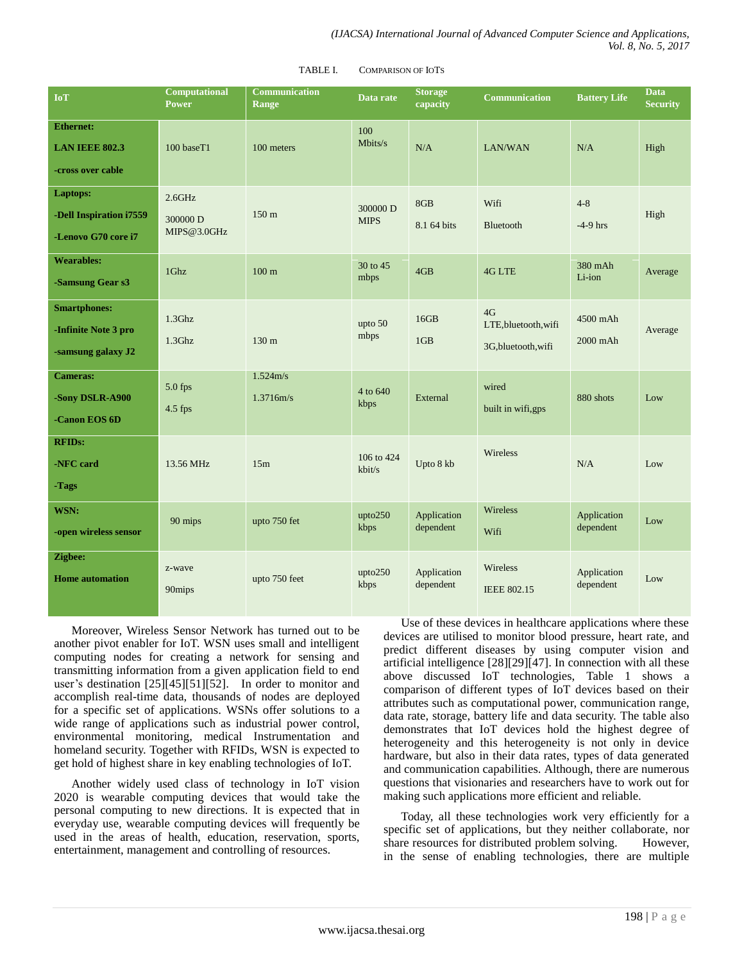| <b>IoT</b>                                                        | <b>Computational</b><br><b>Power</b> | <b>Communication</b><br>Range | Data rate               | <b>Storage</b><br>capacity | <b>Communication</b>                              | <b>Battery Life</b>      | <b>Data</b><br><b>Security</b> |
|-------------------------------------------------------------------|--------------------------------------|-------------------------------|-------------------------|----------------------------|---------------------------------------------------|--------------------------|--------------------------------|
| <b>Ethernet:</b><br><b>LAN IEEE 802.3</b><br>-cross over cable    | 100 baseT1                           | 100 meters                    | 100<br>Mbits/s          | N/A                        | <b>LAN/WAN</b>                                    | N/A                      | High                           |
| Laptops:<br>-Dell Inspiration i7559<br>-Lenovo G70 core i7        | 2.6GHz<br>300000 D<br>MIPS@3.0GHz    | 150 <sub>m</sub>              | 300000 D<br><b>MIPS</b> | 8GB<br>8.1 64 bits         | Wifi<br>Bluetooth                                 | $4 - 8$<br>$-4-9$ hrs    | High                           |
| <b>Wearables:</b><br>-Samsung Gear s3                             | 1Ghz                                 | 100 <sub>m</sub>              | 30 to 45<br>mbps        | 4GB                        | <b>4G LTE</b>                                     | 380 mAh<br>Li-ion        | Average                        |
| <b>Smartphones:</b><br>-Infinite Note 3 pro<br>-samsung galaxy J2 | $1.3$ Ghz<br>$1.3$ Ghz               | 130 <sub>m</sub>              | upto 50<br>mbps         | 16GB<br>1 <sub>GB</sub>    | 4G<br>LTE, bluetooth, wifi<br>3G, bluetooth, wifi | 4500 mAh<br>$2000$ mAh   | Average                        |
| <b>Cameras:</b><br>-Sony DSLR-A900<br>-Canon EOS 6D               | 5.0 fps<br>4.5 fps                   | 1.524m/s<br>1.3716m/s         | 4 to 640<br>kbps        | External                   | wired<br>built in wifi,gps                        | 880 shots                | Low                            |
| <b>RFIDs:</b><br>-NFC card<br>-Tags                               | 13.56 MHz                            | 15m                           | 106 to 424<br>kbit/s    | Upto 8 kb                  | Wireless                                          | N/A                      | Low                            |
| WSN:<br>-open wireless sensor                                     | 90 mips                              | upto 750 fet                  | upto250<br>kbps         | Application<br>dependent   | Wireless<br>Wifi                                  | Application<br>dependent | Low                            |
| Zigbee:<br><b>Home automation</b>                                 | z-wave<br>90mips                     | upto 750 feet                 | upto250<br>kbps         | Application<br>dependent   | Wireless<br><b>IEEE 802.15</b>                    | Application<br>dependent | Low                            |

#### TABLE I. COMPARISON OF IOTS

Moreover, Wireless Sensor Network has turned out to be another pivot enabler for IoT. WSN uses small and intelligent computing nodes for creating a network for sensing and transmitting information from a given application field to end user's destination [25][45][51][52]. In order to monitor and accomplish real-time data, thousands of nodes are deployed for a specific set of applications. WSNs offer solutions to a wide range of applications such as industrial power control, environmental monitoring, medical Instrumentation and homeland security. Together with RFIDs, WSN is expected to get hold of highest share in key enabling technologies of IoT.

Another widely used class of technology in IoT vision 2020 is wearable computing devices that would take the personal computing to new directions. It is expected that in everyday use, wearable computing devices will frequently be used in the areas of health, education, reservation, sports, entertainment, management and controlling of resources.

Use of these devices in healthcare applications where these devices are utilised to monitor blood pressure, heart rate, and predict different diseases by using computer vision and artificial intelligence [28][29][47]. In connection with all these above discussed IoT technologies, Table 1 shows a comparison of different types of IoT devices based on their attributes such as computational power, communication range, data rate, storage, battery life and data security. The table also demonstrates that IoT devices hold the highest degree of heterogeneity and this heterogeneity is not only in device hardware, but also in their data rates, types of data generated and communication capabilities. Although, there are numerous questions that visionaries and researchers have to work out for making such applications more efficient and reliable.

Today, all these technologies work very efficiently for a specific set of applications, but they neither collaborate, nor share resources for distributed problem solving. However, in the sense of enabling technologies, there are multiple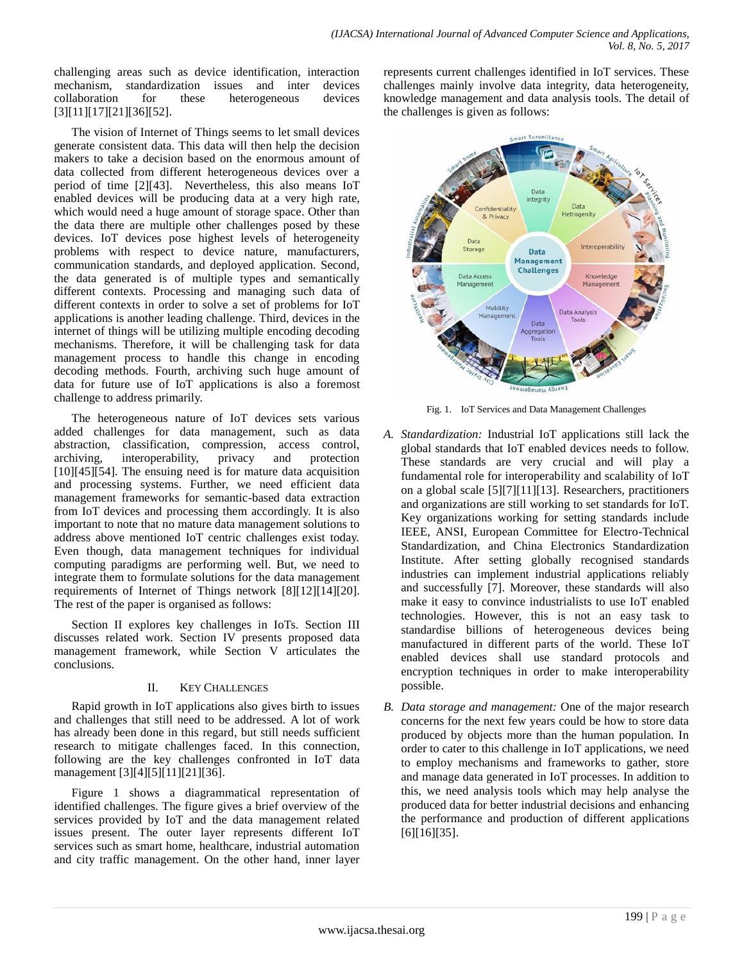challenging areas such as device identification, interaction mechanism, standardization issues and inter devices collaboration for these heterogeneous devices [3][11][17][21][36][52].

The vision of Internet of Things seems to let small devices generate consistent data. This data will then help the decision makers to take a decision based on the enormous amount of data collected from different heterogeneous devices over a period of time [2][43]. Nevertheless, this also means IoT enabled devices will be producing data at a very high rate, which would need a huge amount of storage space. Other than the data there are multiple other challenges posed by these devices. IoT devices pose highest levels of heterogeneity problems with respect to device nature, manufacturers, communication standards, and deployed application. Second, the data generated is of multiple types and semantically different contexts. Processing and managing such data of different contexts in order to solve a set of problems for IoT applications is another leading challenge. Third, devices in the internet of things will be utilizing multiple encoding decoding mechanisms. Therefore, it will be challenging task for data management process to handle this change in encoding decoding methods. Fourth, archiving such huge amount of data for future use of IoT applications is also a foremost challenge to address primarily.

The heterogeneous nature of IoT devices sets various added challenges for data management, such as data abstraction, classification, compression, access control, archiving, interoperability, privacy and protection [10][45][54]. The ensuing need is for mature data acquisition and processing systems. Further, we need efficient data management frameworks for semantic-based data extraction from IoT devices and processing them accordingly. It is also important to note that no mature data management solutions to address above mentioned IoT centric challenges exist today. Even though, data management techniques for individual computing paradigms are performing well. But, we need to integrate them to formulate solutions for the data management requirements of Internet of Things network [8][12][14][20]. The rest of the paper is organised as follows:

Section II explores key challenges in IoTs. Section III discusses related work. Section IV presents proposed data management framework, while Section V articulates the conclusions.

# II. KEY CHALLENGES

Rapid growth in IoT applications also gives birth to issues and challenges that still need to be addressed. A lot of work has already been done in this regard, but still needs sufficient research to mitigate challenges faced. In this connection, following are the key challenges confronted in IoT data management [3][4][5][11][21][36].

Figure 1 shows a diagrammatical representation of identified challenges. The figure gives a brief overview of the services provided by IoT and the data management related issues present. The outer layer represents different IoT services such as smart home, healthcare, industrial automation and city traffic management. On the other hand, inner layer

represents current challenges identified in IoT services. These challenges mainly involve data integrity, data heterogeneity, knowledge management and data analysis tools. The detail of the challenges is given as follows:



Fig. 1. IoT Services and Data Management Challenges

- *A. Standardization:* Industrial IoT applications still lack the global standards that IoT enabled devices needs to follow. These standards are very crucial and will play a fundamental role for interoperability and scalability of IoT on a global scale [5][7][11][13]. Researchers, practitioners and organizations are still working to set standards for IoT. Key organizations working for setting standards include IEEE, ANSI, European Committee for Electro-Technical Standardization, and China Electronics Standardization Institute. After setting globally recognised standards industries can implement industrial applications reliably and successfully [7]. Moreover, these standards will also make it easy to convince industrialists to use IoT enabled technologies. However, this is not an easy task to standardise billions of heterogeneous devices being manufactured in different parts of the world. These IoT enabled devices shall use standard protocols and encryption techniques in order to make interoperability possible.
- *B. Data storage and management:* One of the major research concerns for the next few years could be how to store data produced by objects more than the human population. In order to cater to this challenge in IoT applications, we need to employ mechanisms and frameworks to gather, store and manage data generated in IoT processes. In addition to this, we need analysis tools which may help analyse the produced data for better industrial decisions and enhancing the performance and production of different applications [6][16][35].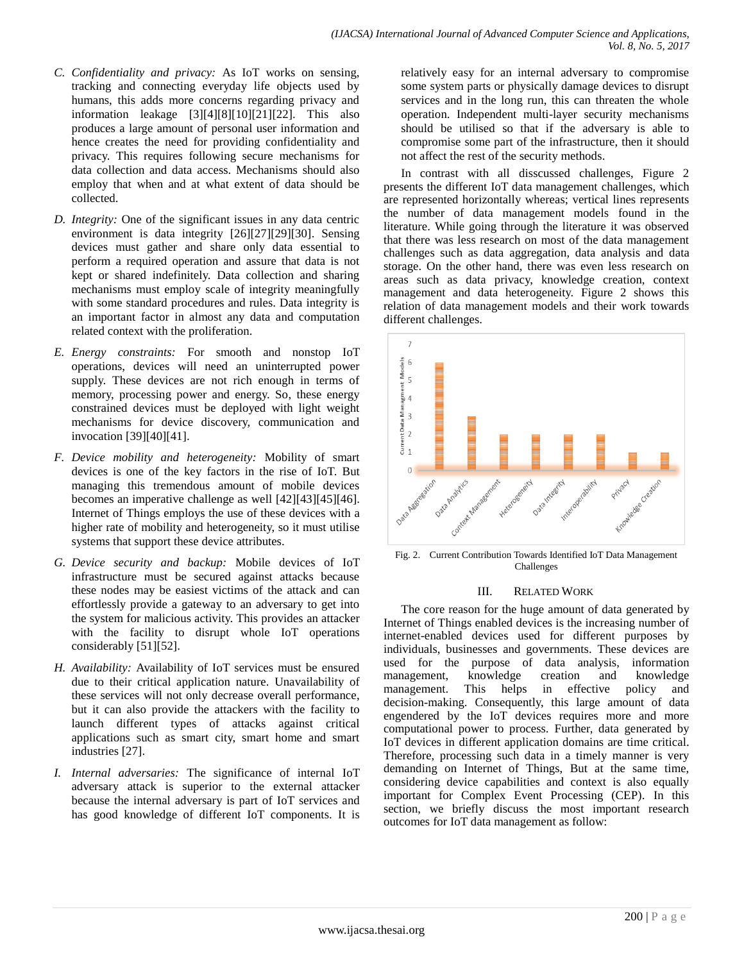- *C. Confidentiality and privacy:* As IoT works on sensing, tracking and connecting everyday life objects used by humans, this adds more concerns regarding privacy and information leakage [3][4][8][10][21][22]. This also produces a large amount of personal user information and hence creates the need for providing confidentiality and privacy. This requires following secure mechanisms for data collection and data access. Mechanisms should also employ that when and at what extent of data should be collected.
- *D. Integrity:* One of the significant issues in any data centric environment is data integrity [26][27][29][30]. Sensing devices must gather and share only data essential to perform a required operation and assure that data is not kept or shared indefinitely. Data collection and sharing mechanisms must employ scale of integrity meaningfully with some standard procedures and rules. Data integrity is an important factor in almost any data and computation related context with the proliferation.
- *E. Energy constraints:* For smooth and nonstop IoT operations, devices will need an uninterrupted power supply. These devices are not rich enough in terms of memory, processing power and energy. So, these energy constrained devices must be deployed with light weight mechanisms for device discovery, communication and invocation [39][40][41].
- *F. Device mobility and heterogeneity:* Mobility of smart devices is one of the key factors in the rise of IoT. But managing this tremendous amount of mobile devices becomes an imperative challenge as well [42][43][45][46]. Internet of Things employs the use of these devices with a higher rate of mobility and heterogeneity, so it must utilise systems that support these device attributes.
- *G. Device security and backup:* Mobile devices of IoT infrastructure must be secured against attacks because these nodes may be easiest victims of the attack and can effortlessly provide a gateway to an adversary to get into the system for malicious activity. This provides an attacker with the facility to disrupt whole IoT operations considerably [51][52].
- *H. Availability:* Availability of IoT services must be ensured due to their critical application nature. Unavailability of these services will not only decrease overall performance, but it can also provide the attackers with the facility to launch different types of attacks against critical applications such as smart city, smart home and smart industries [27].
- *I. Internal adversaries:* The significance of internal IoT adversary attack is superior to the external attacker because the internal adversary is part of IoT services and has good knowledge of different IoT components. It is

relatively easy for an internal adversary to compromise some system parts or physically damage devices to disrupt services and in the long run, this can threaten the whole operation. Independent multi-layer security mechanisms should be utilised so that if the adversary is able to compromise some part of the infrastructure, then it should not affect the rest of the security methods.

In contrast with all disscussed challenges, Figure 2 presents the different IoT data management challenges, which are represented horizontally whereas; vertical lines represents the number of data management models found in the literature. While going through the literature it was observed that there was less research on most of the data management challenges such as data aggregation, data analysis and data storage. On the other hand, there was even less research on areas such as data privacy, knowledge creation, context management and data heterogeneity. Figure 2 shows this relation of data management models and their work towards different challenges.



Fig. 2. Current Contribution Towards Identified IoT Data Management Challenges

# III. RELATED WORK

The core reason for the huge amount of data generated by Internet of Things enabled devices is the increasing number of internet-enabled devices used for different purposes by individuals, businesses and governments. These devices are used for the purpose of data analysis, information management, knowledge creation and knowledge management. This helps in effective policy and decision-making. Consequently, this large amount of data engendered by the IoT devices requires more and more computational power to process. Further, data generated by IoT devices in different application domains are time critical. Therefore, processing such data in a timely manner is very demanding on Internet of Things, But at the same time, considering device capabilities and context is also equally important for Complex Event Processing (CEP). In this section, we briefly discuss the most important research outcomes for IoT data management as follow: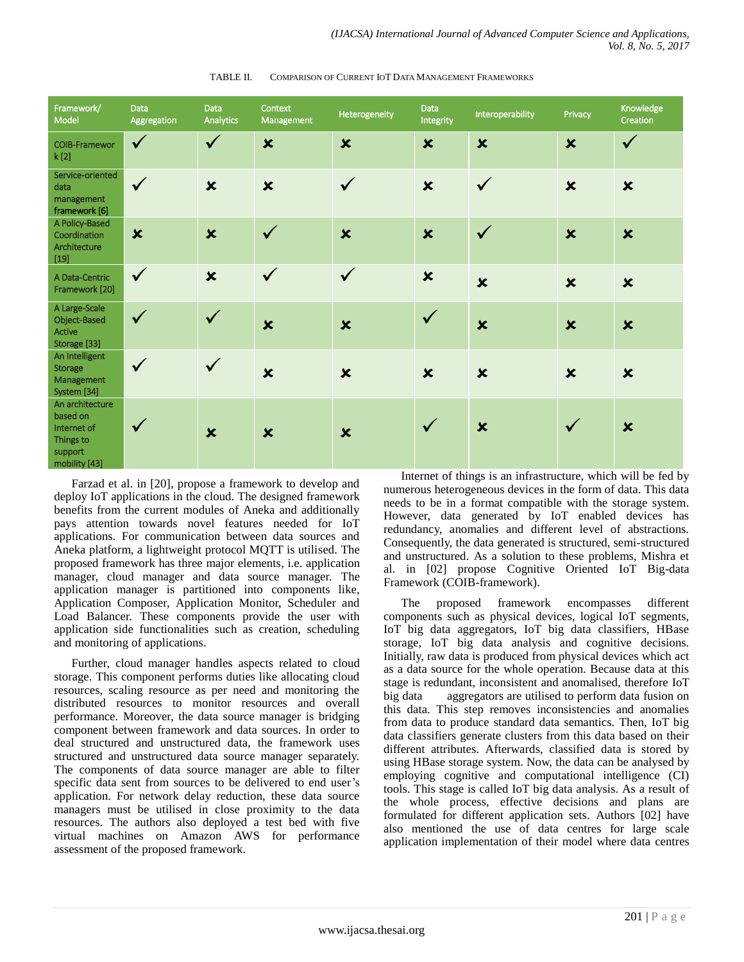| Framework/<br>Model                                                                 | Data<br>Aggregation       | <b>Data</b><br>Analytics  | Context<br>Management     | Heterogeneity             | Data<br>Integrity         | Interoperability          | Privacy                   | Knowledge<br>Creation     |
|-------------------------------------------------------------------------------------|---------------------------|---------------------------|---------------------------|---------------------------|---------------------------|---------------------------|---------------------------|---------------------------|
| <b>COIB-Framewor</b><br>k [2]                                                       | $\checkmark$              | $\checkmark$              | $\mathbf x$               | $\boldsymbol{\mathsf{x}}$ | $\mathbf x$               | $\mathbf x$               | $\boldsymbol{\mathsf{x}}$ | $\checkmark$              |
| Service-oriented<br>data<br>management<br>framework [6]                             | $\checkmark$              | $\pmb{\times}$            | $\boldsymbol{\mathsf{x}}$ | $\checkmark$              | $\pmb{\times}$            | $\sqrt{}$                 | $\boldsymbol{\mathsf{x}}$ | $\boldsymbol{\mathsf{x}}$ |
| A Policy-Based<br>Coordination<br>Architecture<br>$[19]$                            | $\boldsymbol{\mathsf{x}}$ | $\mathbf x$               | $\checkmark$              | $\overline{\mathbf{x}}$   | $\boldsymbol{\mathsf{x}}$ | $\checkmark$              | $\mathbf x$               | $\boldsymbol{\mathsf{x}}$ |
| A Data-Centric<br>Framework [20]                                                    | $\checkmark$              | $\mathbf x$               | $\checkmark$              | $\checkmark$              | $\boldsymbol{\mathsf{x}}$ | $\boldsymbol{\mathsf{x}}$ | $\boldsymbol{\mathsf{x}}$ | $\boldsymbol{\mathsf{x}}$ |
| A Large-Scale<br>Object-Based<br>Active<br>Storage [33]                             | $\checkmark$              | $\checkmark$              | $\mathbf x$               | $\boldsymbol{\mathsf{x}}$ | $\checkmark$              | $\boldsymbol{\mathsf{x}}$ | $\boldsymbol{\mathsf{x}}$ | $\pmb{\times}$            |
| An Intelligent<br><b>Storage</b><br>Management<br>System [34]                       | $\checkmark$              | $\checkmark$              | $\boldsymbol{\mathsf{x}}$ | $\boldsymbol{\mathsf{x}}$ | $\boldsymbol{\mathsf{x}}$ | $\boldsymbol{\mathsf{x}}$ | $\boldsymbol{\mathsf{x}}$ | $\boldsymbol{\mathsf{x}}$ |
| An architecture<br>based on<br>Internet of<br>Things to<br>support<br>mobility [43] | $\checkmark$              | $\boldsymbol{\mathsf{x}}$ | $\boldsymbol{\mathsf{x}}$ | $\boldsymbol{\mathsf{x}}$ | $\checkmark$              | $\boldsymbol{\mathsf{x}}$ |                           | $\boldsymbol{\mathsf{x}}$ |

TABLE II. COMPARISON OF CURRENT IOT DATA MANAGEMENT FRAMEWORKS

Farzad et al. in [20], propose a framework to develop and deploy IoT applications in the cloud. The designed framework benefits from the current modules of Aneka and additionally pays attention towards novel features needed for IoT applications. For communication between data sources and Aneka platform, a lightweight protocol MQTT is utilised. The proposed framework has three major elements, i.e. application manager, cloud manager and data source manager. The application manager is partitioned into components like, Application Composer, Application Monitor, Scheduler and Load Balancer. These components provide the user with application side functionalities such as creation, scheduling and monitoring of applications.

Further, cloud manager handles aspects related to cloud storage. This component performs duties like allocating cloud resources, scaling resource as per need and monitoring the distributed resources to monitor resources and overall performance. Moreover, the data source manager is bridging component between framework and data sources. In order to deal structured and unstructured data, the framework uses structured and unstructured data source manager separately. The components of data source manager are able to filter specific data sent from sources to be delivered to end user's application. For network delay reduction, these data source managers must be utilised in close proximity to the data resources. The authors also deployed a test bed with five virtual machines on Amazon AWS for performance assessment of the proposed framework.

Internet of things is an infrastructure, which will be fed by numerous heterogeneous devices in the form of data. This data needs to be in a format compatible with the storage system. However, data generated by IoT enabled devices has redundancy, anomalies and different level of abstractions. Consequently, the data generated is structured, semi-structured and unstructured. As a solution to these problems, Mishra et al. in [02] propose Cognitive Oriented IoT Big-data Framework (COIB-framework).

The proposed framework encompasses different components such as physical devices, logical IoT segments, IoT big data aggregators, IoT big data classifiers, HBase storage, IoT big data analysis and cognitive decisions. Initially, raw data is produced from physical devices which act as a data source for the whole operation. Because data at this stage is redundant, inconsistent and anomalised, therefore IoT big data aggregators are utilised to perform data fusion on this data. This step removes inconsistencies and anomalies from data to produce standard data semantics. Then, IoT big data classifiers generate clusters from this data based on their different attributes. Afterwards, classified data is stored by using HBase storage system. Now, the data can be analysed by employing cognitive and computational intelligence (CI) tools. This stage is called IoT big data analysis. As a result of the whole process, effective decisions and plans are formulated for different application sets. Authors [02] have also mentioned the use of data centres for large scale application implementation of their model where data centres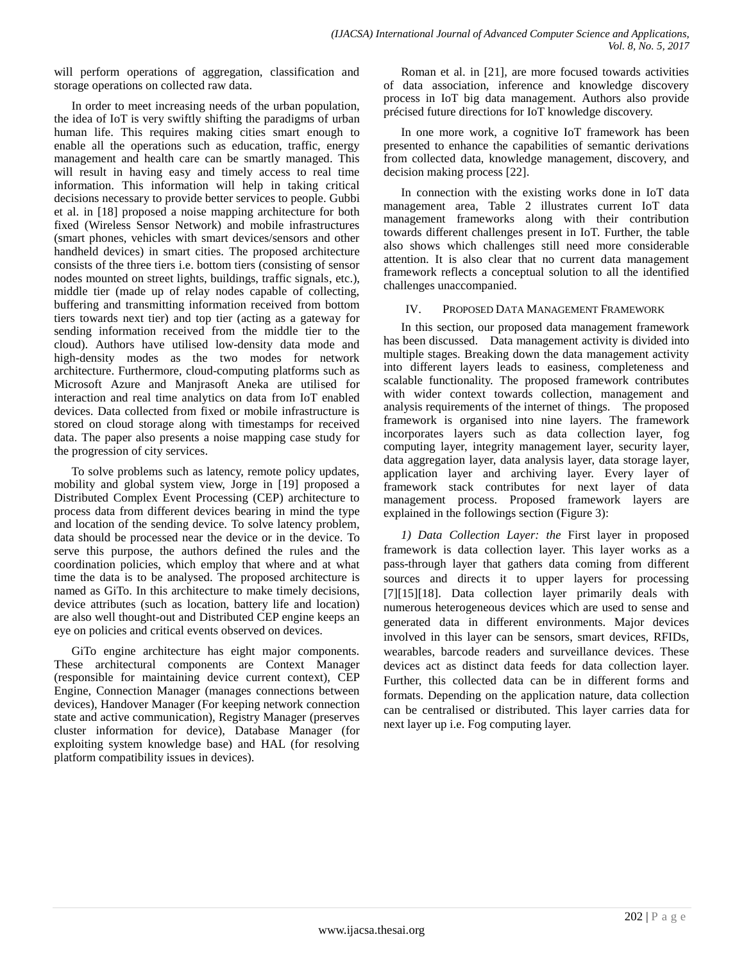will perform operations of aggregation, classification and storage operations on collected raw data.

In order to meet increasing needs of the urban population, the idea of IoT is very swiftly shifting the paradigms of urban human life. This requires making cities smart enough to enable all the operations such as education, traffic, energy management and health care can be smartly managed. This will result in having easy and timely access to real time information. This information will help in taking critical decisions necessary to provide better services to people. Gubbi et al. in [18] proposed a noise mapping architecture for both fixed (Wireless Sensor Network) and mobile infrastructures (smart phones, vehicles with smart devices/sensors and other handheld devices) in smart cities. The proposed architecture consists of the three tiers i.e. bottom tiers (consisting of sensor nodes mounted on street lights, buildings, traffic signals, etc.), middle tier (made up of relay nodes capable of collecting, buffering and transmitting information received from bottom tiers towards next tier) and top tier (acting as a gateway for sending information received from the middle tier to the cloud). Authors have utilised low-density data mode and high-density modes as the two modes for network architecture. Furthermore, cloud-computing platforms such as Microsoft Azure and Manjrasoft Aneka are utilised for interaction and real time analytics on data from IoT enabled devices. Data collected from fixed or mobile infrastructure is stored on cloud storage along with timestamps for received data. The paper also presents a noise mapping case study for the progression of city services.

To solve problems such as latency, remote policy updates, mobility and global system view, Jorge in [19] proposed a Distributed Complex Event Processing (CEP) architecture to process data from different devices bearing in mind the type and location of the sending device. To solve latency problem, data should be processed near the device or in the device. To serve this purpose, the authors defined the rules and the coordination policies, which employ that where and at what time the data is to be analysed. The proposed architecture is named as GiTo. In this architecture to make timely decisions, device attributes (such as location, battery life and location) are also well thought-out and Distributed CEP engine keeps an eye on policies and critical events observed on devices.

GiTo engine architecture has eight major components. These architectural components are Context Manager (responsible for maintaining device current context), CEP Engine, Connection Manager (manages connections between devices), Handover Manager (For keeping network connection state and active communication), Registry Manager (preserves cluster information for device), Database Manager (for exploiting system knowledge base) and HAL (for resolving platform compatibility issues in devices).

Roman et al. in [21], are more focused towards activities of data association, inference and knowledge discovery process in IoT big data management. Authors also provide précised future directions for IoT knowledge discovery.

In one more work, a cognitive IoT framework has been presented to enhance the capabilities of semantic derivations from collected data, knowledge management, discovery, and decision making process [22].

In connection with the existing works done in IoT data management area, Table 2 illustrates current IoT data management frameworks along with their contribution towards different challenges present in IoT. Further, the table also shows which challenges still need more considerable attention. It is also clear that no current data management framework reflects a conceptual solution to all the identified challenges unaccompanied.

### IV. PROPOSED DATA MANAGEMENT FRAMEWORK

In this section, our proposed data management framework has been discussed. Data management activity is divided into multiple stages. Breaking down the data management activity into different layers leads to easiness, completeness and scalable functionality. The proposed framework contributes with wider context towards collection, management and analysis requirements of the internet of things. The proposed framework is organised into nine layers. The framework incorporates layers such as data collection layer, fog computing layer, integrity management layer, security layer, data aggregation layer, data analysis layer, data storage layer, application layer and archiving layer. Every layer of framework stack contributes for next layer of data management process. Proposed framework layers are explained in the followings section (Figure 3):

*1) Data Collection Layer: the* First layer in proposed framework is data collection layer. This layer works as a pass-through layer that gathers data coming from different sources and directs it to upper layers for processing [7][15][18]. Data collection layer primarily deals with numerous heterogeneous devices which are used to sense and generated data in different environments. Major devices involved in this layer can be sensors, smart devices, RFIDs, wearables, barcode readers and surveillance devices. These devices act as distinct data feeds for data collection layer. Further, this collected data can be in different forms and formats. Depending on the application nature, data collection can be centralised or distributed. This layer carries data for next layer up i.e. Fog computing layer.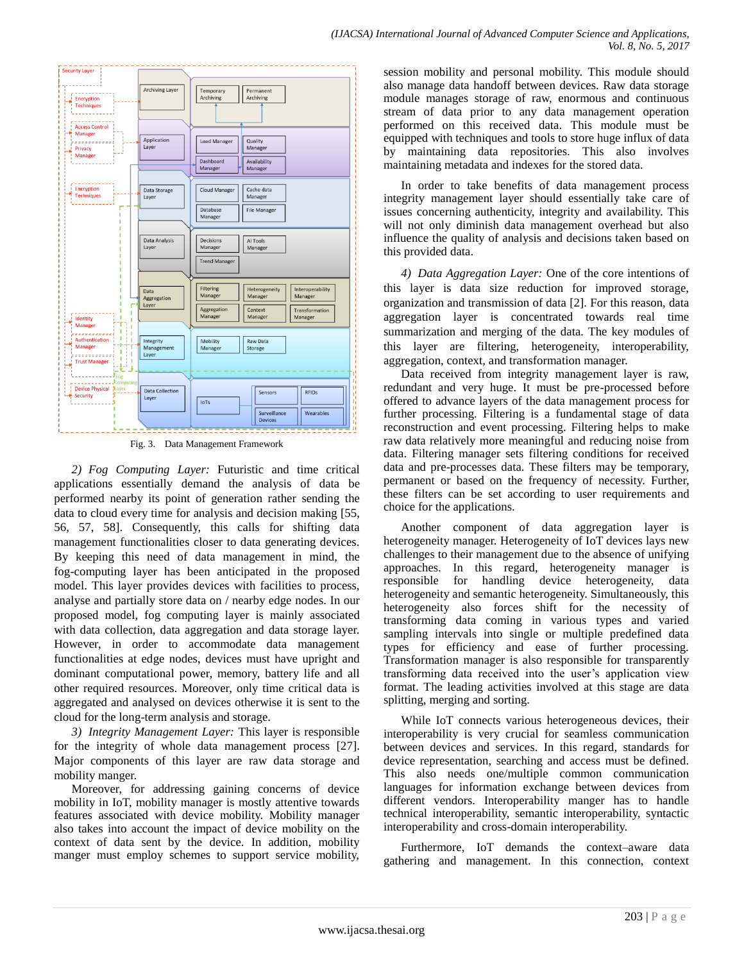

Fig. 3. Data Management Framework

*2) Fog Computing Layer:* Futuristic and time critical applications essentially demand the analysis of data be performed nearby its point of generation rather sending the data to cloud every time for analysis and decision making [55, 56, 57, 58]. Consequently, this calls for shifting data management functionalities closer to data generating devices. By keeping this need of data management in mind, the fog-computing layer has been anticipated in the proposed model. This layer provides devices with facilities to process, analyse and partially store data on / nearby edge nodes. In our proposed model, fog computing layer is mainly associated with data collection, data aggregation and data storage layer. However, in order to accommodate data management functionalities at edge nodes, devices must have upright and dominant computational power, memory, battery life and all other required resources. Moreover, only time critical data is aggregated and analysed on devices otherwise it is sent to the cloud for the long-term analysis and storage.

*3) Integrity Management Layer:* This layer is responsible for the integrity of whole data management process [27]. Major components of this layer are raw data storage and mobility manger.

Moreover, for addressing gaining concerns of device mobility in IoT, mobility manager is mostly attentive towards features associated with device mobility. Mobility manager also takes into account the impact of device mobility on the context of data sent by the device. In addition, mobility manger must employ schemes to support service mobility, session mobility and personal mobility. This module should also manage data handoff between devices. Raw data storage module manages storage of raw, enormous and continuous stream of data prior to any data management operation performed on this received data. This module must be equipped with techniques and tools to store huge influx of data by maintaining data repositories. This also involves maintaining metadata and indexes for the stored data.

In order to take benefits of data management process integrity management layer should essentially take care of issues concerning authenticity, integrity and availability. This will not only diminish data management overhead but also influence the quality of analysis and decisions taken based on this provided data.

*4) Data Aggregation Layer:* One of the core intentions of this layer is data size reduction for improved storage, organization and transmission of data [2]. For this reason, data aggregation layer is concentrated towards real time summarization and merging of the data. The key modules of this layer are filtering, heterogeneity, interoperability, aggregation, context, and transformation manager.

Data received from integrity management layer is raw, redundant and very huge. It must be pre-processed before offered to advance layers of the data management process for further processing. Filtering is a fundamental stage of data reconstruction and event processing. Filtering helps to make raw data relatively more meaningful and reducing noise from data. Filtering manager sets filtering conditions for received data and pre-processes data. These filters may be temporary, permanent or based on the frequency of necessity. Further, these filters can be set according to user requirements and choice for the applications.

Another component of data aggregation layer is heterogeneity manager. Heterogeneity of IoT devices lays new challenges to their management due to the absence of unifying approaches. In this regard, heterogeneity manager is responsible for handling device heterogeneity, data heterogeneity and semantic heterogeneity. Simultaneously, this heterogeneity also forces shift for the necessity of transforming data coming in various types and varied sampling intervals into single or multiple predefined data types for efficiency and ease of further processing. Transformation manager is also responsible for transparently transforming data received into the user's application view format. The leading activities involved at this stage are data splitting, merging and sorting.

While IoT connects various heterogeneous devices, their interoperability is very crucial for seamless communication between devices and services. In this regard, standards for device representation, searching and access must be defined. This also needs one/multiple common communication languages for information exchange between devices from different vendors. Interoperability manger has to handle technical interoperability, semantic interoperability, syntactic interoperability and cross-domain interoperability.

Furthermore, IoT demands the context–aware data gathering and management. In this connection, context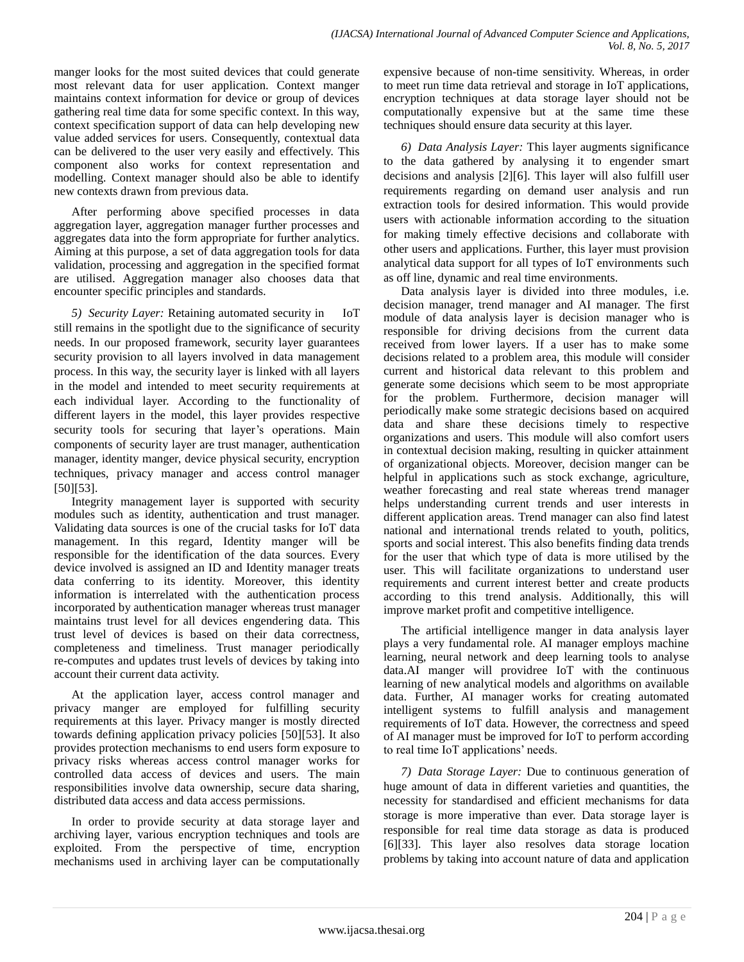manger looks for the most suited devices that could generate most relevant data for user application. Context manger maintains context information for device or group of devices gathering real time data for some specific context. In this way, context specification support of data can help developing new value added services for users. Consequently, contextual data can be delivered to the user very easily and effectively. This component also works for context representation and modelling. Context manager should also be able to identify new contexts drawn from previous data.

After performing above specified processes in data aggregation layer, aggregation manager further processes and aggregates data into the form appropriate for further analytics. Aiming at this purpose, a set of data aggregation tools for data validation, processing and aggregation in the specified format are utilised. Aggregation manager also chooses data that encounter specific principles and standards.

*5) Security Layer:* Retaining automated security in IoT still remains in the spotlight due to the significance of security needs. In our proposed framework, security layer guarantees security provision to all layers involved in data management process. In this way, the security layer is linked with all layers in the model and intended to meet security requirements at each individual layer. According to the functionality of different layers in the model, this layer provides respective security tools for securing that layer's operations. Main components of security layer are trust manager, authentication manager, identity manger, device physical security, encryption techniques, privacy manager and access control manager [50][53].

Integrity management layer is supported with security modules such as identity, authentication and trust manager. Validating data sources is one of the crucial tasks for IoT data management. In this regard, Identity manger will be responsible for the identification of the data sources. Every device involved is assigned an ID and Identity manager treats data conferring to its identity. Moreover, this identity information is interrelated with the authentication process incorporated by authentication manager whereas trust manager maintains trust level for all devices engendering data. This trust level of devices is based on their data correctness, completeness and timeliness. Trust manager periodically re-computes and updates trust levels of devices by taking into account their current data activity.

At the application layer, access control manager and privacy manger are employed for fulfilling security requirements at this layer. Privacy manger is mostly directed towards defining application privacy policies [50][53]. It also provides protection mechanisms to end users form exposure to privacy risks whereas access control manager works for controlled data access of devices and users. The main responsibilities involve data ownership, secure data sharing, distributed data access and data access permissions.

In order to provide security at data storage layer and archiving layer, various encryption techniques and tools are exploited. From the perspective of time, encryption mechanisms used in archiving layer can be computationally expensive because of non-time sensitivity. Whereas, in order to meet run time data retrieval and storage in IoT applications, encryption techniques at data storage layer should not be computationally expensive but at the same time these techniques should ensure data security at this layer.

*6) Data Analysis Layer:* This layer augments significance to the data gathered by analysing it to engender smart decisions and analysis [2][6]. This layer will also fulfill user requirements regarding on demand user analysis and run extraction tools for desired information. This would provide users with actionable information according to the situation for making timely effective decisions and collaborate with other users and applications. Further, this layer must provision analytical data support for all types of IoT environments such as off line, dynamic and real time environments.

Data analysis layer is divided into three modules, i.e. decision manager, trend manager and AI manager. The first module of data analysis layer is decision manager who is responsible for driving decisions from the current data received from lower layers. If a user has to make some decisions related to a problem area, this module will consider current and historical data relevant to this problem and generate some decisions which seem to be most appropriate for the problem. Furthermore, decision manager will periodically make some strategic decisions based on acquired data and share these decisions timely to respective organizations and users. This module will also comfort users in contextual decision making, resulting in quicker attainment of organizational objects. Moreover, decision manger can be helpful in applications such as stock exchange, agriculture, weather forecasting and real state whereas trend manager helps understanding current trends and user interests in different application areas. Trend manager can also find latest national and international trends related to youth, politics, sports and social interest. This also benefits finding data trends for the user that which type of data is more utilised by the user. This will facilitate organizations to understand user requirements and current interest better and create products according to this trend analysis. Additionally, this will improve market profit and competitive intelligence.

The artificial intelligence manger in data analysis layer plays a very fundamental role. AI manager employs machine learning, neural network and deep learning tools to analyse data.AI manger will providree IoT with the continuous learning of new analytical models and algorithms on available data. Further, AI manager works for creating automated intelligent systems to fulfill analysis and management requirements of IoT data. However, the correctness and speed of AI manager must be improved for IoT to perform according to real time IoT applications' needs.

*7) Data Storage Layer:* Due to continuous generation of huge amount of data in different varieties and quantities, the necessity for standardised and efficient mechanisms for data storage is more imperative than ever. Data storage layer is responsible for real time data storage as data is produced [6][33]. This layer also resolves data storage location problems by taking into account nature of data and application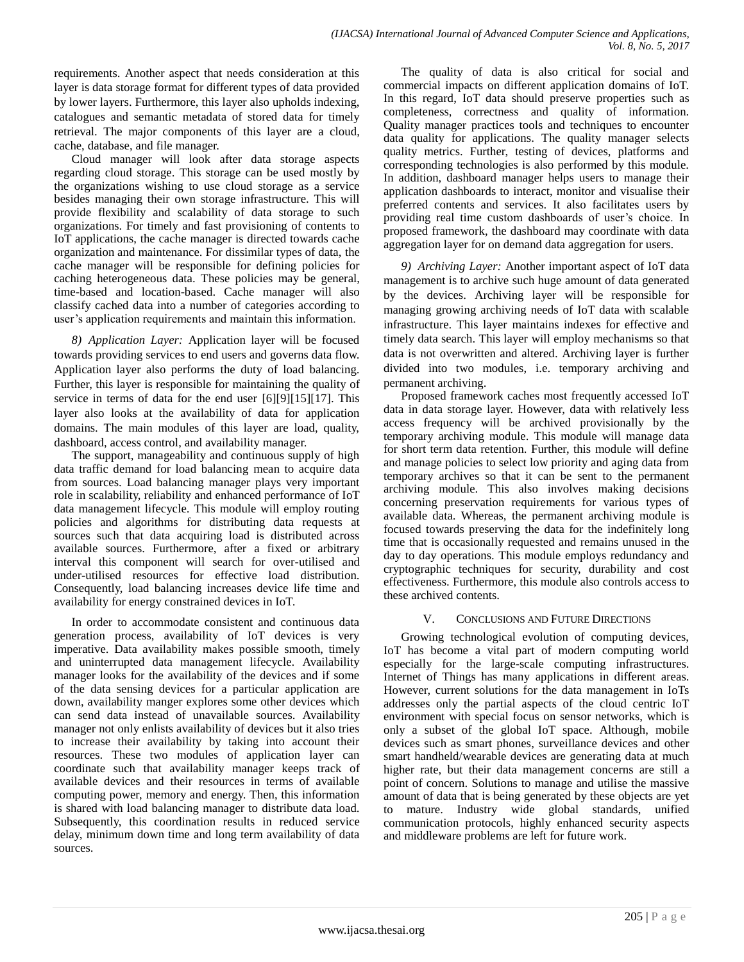requirements. Another aspect that needs consideration at this layer is data storage format for different types of data provided by lower layers. Furthermore, this layer also upholds indexing, catalogues and semantic metadata of stored data for timely retrieval. The major components of this layer are a cloud, cache, database, and file manager.

Cloud manager will look after data storage aspects regarding cloud storage. This storage can be used mostly by the organizations wishing to use cloud storage as a service besides managing their own storage infrastructure. This will provide flexibility and scalability of data storage to such organizations. For timely and fast provisioning of contents to IoT applications, the cache manager is directed towards cache organization and maintenance. For dissimilar types of data, the cache manager will be responsible for defining policies for caching heterogeneous data. These policies may be general, time-based and location-based. Cache manager will also classify cached data into a number of categories according to user's application requirements and maintain this information.

*8) Application Layer:* Application layer will be focused towards providing services to end users and governs data flow. Application layer also performs the duty of load balancing. Further, this layer is responsible for maintaining the quality of service in terms of data for the end user [6][9][15][17]. This layer also looks at the availability of data for application domains. The main modules of this layer are load, quality, dashboard, access control, and availability manager.

The support, manageability and continuous supply of high data traffic demand for load balancing mean to acquire data from sources. Load balancing manager plays very important role in scalability, reliability and enhanced performance of IoT data management lifecycle. This module will employ routing policies and algorithms for distributing data requests at sources such that data acquiring load is distributed across available sources. Furthermore, after a fixed or arbitrary interval this component will search for over-utilised and under-utilised resources for effective load distribution. Consequently, load balancing increases device life time and availability for energy constrained devices in IoT.

In order to accommodate consistent and continuous data generation process, availability of IoT devices is very imperative. Data availability makes possible smooth, timely and uninterrupted data management lifecycle. Availability manager looks for the availability of the devices and if some of the data sensing devices for a particular application are down, availability manger explores some other devices which can send data instead of unavailable sources. Availability manager not only enlists availability of devices but it also tries to increase their availability by taking into account their resources. These two modules of application layer can coordinate such that availability manager keeps track of available devices and their resources in terms of available computing power, memory and energy. Then, this information is shared with load balancing manager to distribute data load. Subsequently, this coordination results in reduced service delay, minimum down time and long term availability of data sources.

The quality of data is also critical for social and commercial impacts on different application domains of IoT. In this regard, IoT data should preserve properties such as completeness, correctness and quality of information. Quality manager practices tools and techniques to encounter data quality for applications. The quality manager selects quality metrics. Further, testing of devices, platforms and corresponding technologies is also performed by this module. In addition, dashboard manager helps users to manage their application dashboards to interact, monitor and visualise their preferred contents and services. It also facilitates users by providing real time custom dashboards of user's choice. In proposed framework, the dashboard may coordinate with data aggregation layer for on demand data aggregation for users.

*9) Archiving Layer:* Another important aspect of IoT data management is to archive such huge amount of data generated by the devices. Archiving layer will be responsible for managing growing archiving needs of IoT data with scalable infrastructure. This layer maintains indexes for effective and timely data search. This layer will employ mechanisms so that data is not overwritten and altered. Archiving layer is further divided into two modules, i.e. temporary archiving and permanent archiving.

Proposed framework caches most frequently accessed IoT data in data storage layer. However, data with relatively less access frequency will be archived provisionally by the temporary archiving module. This module will manage data for short term data retention. Further, this module will define and manage policies to select low priority and aging data from temporary archives so that it can be sent to the permanent archiving module. This also involves making decisions concerning preservation requirements for various types of available data. Whereas, the permanent archiving module is focused towards preserving the data for the indefinitely long time that is occasionally requested and remains unused in the day to day operations. This module employs redundancy and cryptographic techniques for security, durability and cost effectiveness. Furthermore, this module also controls access to these archived contents.

# V. CONCLUSIONS AND FUTURE DIRECTIONS

Growing technological evolution of computing devices, IoT has become a vital part of modern computing world especially for the large-scale computing infrastructures. Internet of Things has many applications in different areas. However, current solutions for the data management in IoTs addresses only the partial aspects of the cloud centric IoT environment with special focus on sensor networks, which is only a subset of the global IoT space. Although, mobile devices such as smart phones, surveillance devices and other smart handheld/wearable devices are generating data at much higher rate, but their data management concerns are still a point of concern. Solutions to manage and utilise the massive amount of data that is being generated by these objects are yet to mature. Industry wide global standards, unified communication protocols, highly enhanced security aspects and middleware problems are left for future work.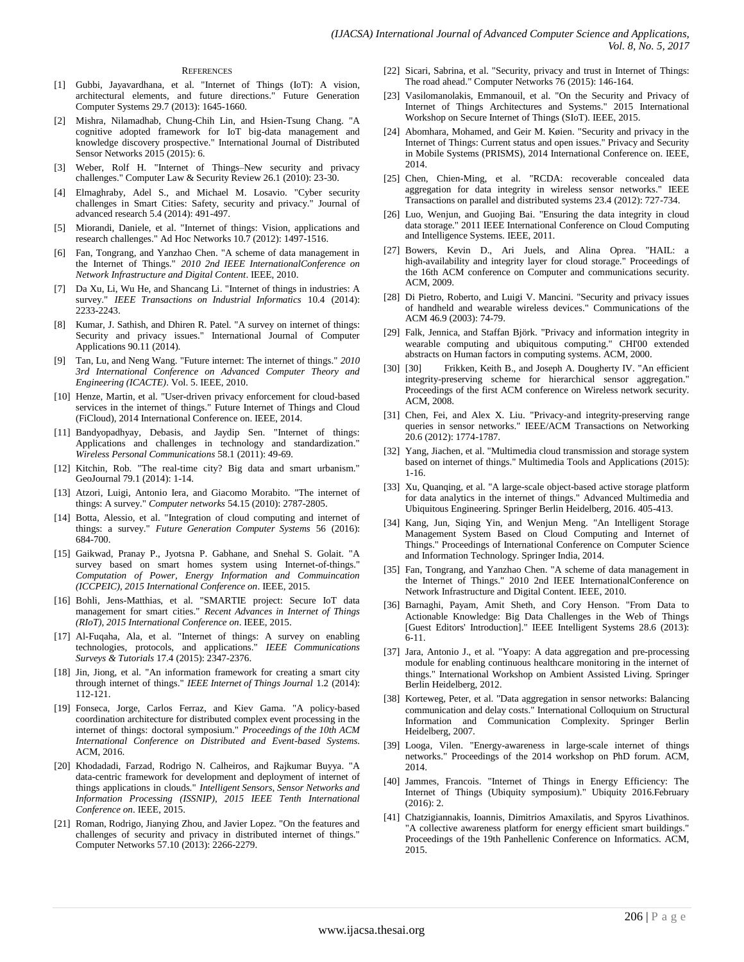#### **REFERENCES**

- [1] Gubbi, Jayavardhana, et al. "Internet of Things (IoT): A vision, architectural elements, and future directions." Future Generation Computer Systems 29.7 (2013): 1645-1660.
- [2] Mishra, Nilamadhab, Chung-Chih Lin, and Hsien-Tsung Chang. "A cognitive adopted framework for IoT big-data management and knowledge discovery prospective." International Journal of Distributed Sensor Networks 2015 (2015): 6.
- [3] Weber, Rolf H. "Internet of Things–New security and privacy challenges." Computer Law & Security Review 26.1 (2010): 23-30.
- [4] Elmaghraby, Adel S., and Michael M. Losavio. "Cyber security challenges in Smart Cities: Safety, security and privacy." Journal of advanced research 5.4 (2014): 491-497.
- [5] Miorandi, Daniele, et al. "Internet of things: Vision, applications and research challenges." Ad Hoc Networks 10.7 (2012): 1497-1516.
- [6] Fan, Tongrang, and Yanzhao Chen. "A scheme of data management in the Internet of Things." *2010 2nd IEEE InternationalConference on Network Infrastructure and Digital Content*. IEEE, 2010.
- [7] Da Xu, Li, Wu He, and Shancang Li. "Internet of things in industries: A survey." *IEEE Transactions on Industrial Informatics* 10.4 (2014): 2233-2243.
- [8] Kumar, J. Sathish, and Dhiren R. Patel. "A survey on internet of things: Security and privacy issues." International Journal of Computer Applications 90.11 (2014).
- [9] Tan, Lu, and Neng Wang. "Future internet: The internet of things." *2010 3rd International Conference on Advanced Computer Theory and Engineering (ICACTE)*. Vol. 5. IEEE, 2010.
- [10] Henze, Martin, et al. "User-driven privacy enforcement for cloud-based services in the internet of things." Future Internet of Things and Cloud (FiCloud), 2014 International Conference on. IEEE, 2014.
- [11] Bandyopadhyay, Debasis, and Jaydip Sen. "Internet of things: Applications and challenges in technology and standardization." *Wireless Personal Communications* 58.1 (2011): 49-69.
- [12] Kitchin, Rob. "The real-time city? Big data and smart urbanism." GeoJournal 79.1 (2014): 1-14.
- [13] Atzori, Luigi, Antonio Iera, and Giacomo Morabito. "The internet of things: A survey." *Computer networks* 54.15 (2010): 2787-2805.
- [14] Botta, Alessio, et al. "Integration of cloud computing and internet of things: a survey." *Future Generation Computer Systems* 56 (2016): 684-700.
- [15] Gaikwad, Pranay P., Jyotsna P. Gabhane, and Snehal S. Golait. "A survey based on smart homes system using Internet-of-things." *Computation of Power, Energy Information and Commuincation (ICCPEIC), 2015 International Conference on*. IEEE, 2015.
- [16] Bohli, Jens-Matthias, et al. "SMARTIE project: Secure IoT data management for smart cities." *Recent Advances in Internet of Things (RIoT), 2015 International Conference on*. IEEE, 2015.
- [17] Al-Fuqaha, Ala, et al. "Internet of things: A survey on enabling technologies, protocols, and applications." *IEEE Communications Surveys & Tutorials* 17.4 (2015): 2347-2376.
- [18] Jin, Jiong, et al. "An information framework for creating a smart city through internet of things." *IEEE Internet of Things Journal* 1.2 (2014): 112-121.
- [19] Fonseca, Jorge, Carlos Ferraz, and Kiev Gama. "A policy-based coordination architecture for distributed complex event processing in the internet of things: doctoral symposium." *Proceedings of the 10th ACM International Conference on Distributed and Event-based Systems*. ACM, 2016.
- [20] Khodadadi, Farzad, Rodrigo N. Calheiros, and Rajkumar Buyya. "A data-centric framework for development and deployment of internet of things applications in clouds." *Intelligent Sensors, Sensor Networks and Information Processing (ISSNIP), 2015 IEEE Tenth International Conference on*. IEEE, 2015.
- [21] Roman, Rodrigo, Jianying Zhou, and Javier Lopez. "On the features and challenges of security and privacy in distributed internet of things." Computer Networks 57.10 (2013): 2266-2279.
- [22] Sicari, Sabrina, et al. "Security, privacy and trust in Internet of Things: The road ahead." Computer Networks 76 (2015): 146-164.
- [23] Vasilomanolakis, Emmanouil, et al. "On the Security and Privacy of Internet of Things Architectures and Systems." 2015 International Workshop on Secure Internet of Things (SIoT). IEEE, 2015.
- [24] Abomhara, Mohamed, and Geir M. Køien. "Security and privacy in the Internet of Things: Current status and open issues." Privacy and Security in Mobile Systems (PRISMS), 2014 International Conference on. IEEE, 2014.
- [25] Chen, Chien-Ming, et al. "RCDA: recoverable concealed data aggregation for data integrity in wireless sensor networks." IEEE Transactions on parallel and distributed systems 23.4 (2012): 727-734.
- [26] Luo, Wenjun, and Guojing Bai. "Ensuring the data integrity in cloud data storage." 2011 IEEE International Conference on Cloud Computing and Intelligence Systems. IEEE, 2011.
- [27] Bowers, Kevin D., Ari Juels, and Alina Oprea. "HAIL: a high-availability and integrity layer for cloud storage." Proceedings of the 16th ACM conference on Computer and communications security. ACM, 2009.
- [28] Di Pietro, Roberto, and Luigi V. Mancini. "Security and privacy issues of handheld and wearable wireless devices." Communications of the ACM 46.9 (2003): 74-79.
- [29] Falk, Jennica, and Staffan Björk. "Privacy and information integrity in wearable computing and ubiquitous computing." CHI'00 extended abstracts on Human factors in computing systems. ACM, 2000.
- [30] [30] Frikken, Keith B., and Joseph A. Dougherty IV. "An efficient integrity-preserving scheme for hierarchical sensor aggregation." Proceedings of the first ACM conference on Wireless network security. ACM, 2008.
- [31] Chen, Fei, and Alex X. Liu. "Privacy-and integrity-preserving range queries in sensor networks." IEEE/ACM Transactions on Networking 20.6 (2012): 1774-1787.
- [32] Yang, Jiachen, et al. "Multimedia cloud transmission and storage system based on internet of things." Multimedia Tools and Applications (2015): 1-16.
- [33] Xu, Quanqing, et al. "A large-scale object-based active storage platform for data analytics in the internet of things." Advanced Multimedia and Ubiquitous Engineering. Springer Berlin Heidelberg, 2016. 405-413.
- [34] Kang, Jun, Siqing Yin, and Wenjun Meng. "An Intelligent Storage Management System Based on Cloud Computing and Internet of Things." Proceedings of International Conference on Computer Science and Information Technology. Springer India, 2014.
- [35] Fan, Tongrang, and Yanzhao Chen. "A scheme of data management in the Internet of Things." 2010 2nd IEEE InternationalConference on Network Infrastructure and Digital Content. IEEE, 2010.
- [36] Barnaghi, Payam, Amit Sheth, and Cory Henson. "From Data to Actionable Knowledge: Big Data Challenges in the Web of Things [Guest Editors' Introduction]." IEEE Intelligent Systems 28.6 (2013): 6-11.
- [37] Jara, Antonio J., et al. "Yoapy: A data aggregation and pre-processing module for enabling continuous healthcare monitoring in the internet of things." International Workshop on Ambient Assisted Living. Springer Berlin Heidelberg, 2012.
- [38] Korteweg, Peter, et al. "Data aggregation in sensor networks: Balancing communication and delay costs." International Colloquium on Structural Information and Communication Complexity. Springer Berlin Heidelberg, 2007.
- [39] Looga, Vilen. "Energy-awareness in large-scale internet of things networks." Proceedings of the 2014 workshop on PhD forum. ACM, 2014.
- [40] Jammes, Francois. "Internet of Things in Energy Efficiency: The Internet of Things (Ubiquity symposium)." Ubiquity 2016.February (2016): 2.
- [41] Chatzigiannakis, Ioannis, Dimitrios Amaxilatis, and Spyros Livathinos. "A collective awareness platform for energy efficient smart buildings." Proceedings of the 19th Panhellenic Conference on Informatics. ACM, 2015.